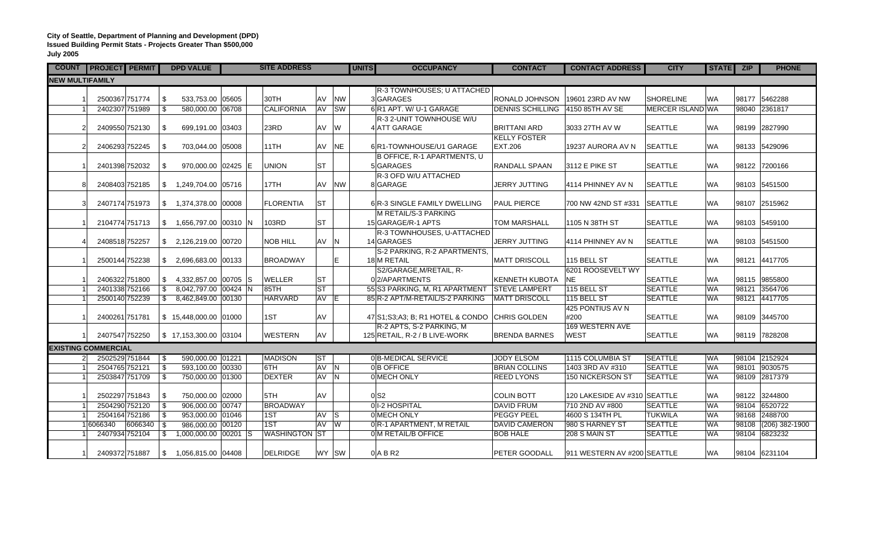## **City of Seattle, Department of Planning and Development (DPD) Issued Building Permit Stats - Projects Greater Than \$500,000 July 2005**

| <b>COUNT</b>               | <b>PROJECT PERMIT</b> |                |                |                | <b>DPD VALUE</b>                   | <b>SITE ADDRESS</b> |                      |                 |              | <b>UNITS</b> | <b>OCCUPANCY</b>                                          | <b>CONTACT</b>          | <b>CONTACT ADDRESS</b>       | <b>CITY</b>      | STATE ZIP |       | <b>PHONE</b>     |
|----------------------------|-----------------------|----------------|----------------|----------------|------------------------------------|---------------------|----------------------|-----------------|--------------|--------------|-----------------------------------------------------------|-------------------------|------------------------------|------------------|-----------|-------|------------------|
| <b>NEW MULTIFAMILY</b>     |                       |                |                |                |                                    |                     |                      |                 |              |              |                                                           |                         |                              |                  |           |       |                  |
|                            |                       |                |                |                |                                    |                     |                      |                 |              |              | R-3 TOWNHOUSES; U ATTACHED                                |                         |                              |                  |           |       |                  |
|                            |                       | 2500367 751774 |                | \$             | 533,753.00 05605                   |                     | 30TH                 | AV              | <b>NW</b>    |              | 3GARAGES                                                  | RONALD JOHNSON          | 19601 23RD AV NW             | <b>SHORELINE</b> | <b>WA</b> |       | 98177 5462288    |
|                            |                       |                | 2402307 751989 | s,             | 580,000.00 06708                   |                     | <b>CALIFORNIA</b>    |                 | AV SW        |              | 6 R1 APT. W/ U-1 GARAGE                                   | <b>DENNIS SCHILLING</b> | 4150 85TH AV SE              | MERCER ISLAND WA |           |       | 98040 2361817    |
|                            |                       |                |                |                |                                    |                     |                      |                 |              |              | R-3 2-UNIT TOWNHOUSE W/U                                  |                         |                              |                  |           |       |                  |
|                            | $\overline{2}$        |                | 2409550 752130 | \$             | 699,191.00 03403                   |                     | 23RD                 | AV              | W            |              | 4 ATT GARAGE                                              | <b>BRITTANI ARD</b>     | 3033 27TH AV W               | <b>SEATTLE</b>   | <b>WA</b> |       | 98199 2827990    |
|                            |                       |                |                |                |                                    |                     |                      |                 |              |              |                                                           | <b>KELLY FOSTER</b>     |                              |                  |           |       |                  |
|                            | $\mathcal{P}$         |                | 2406293 752245 | \$             | 703,044.00 05008                   |                     | 11TH                 | AV              | <b>NE</b>    |              | 6 R1-TOWNHOUSE/U1 GARAGE                                  | EXT.206                 | 19237 AURORA AV N            | <b>SEATTLE</b>   | <b>WA</b> |       | 98133 5429096    |
|                            |                       |                |                |                |                                    |                     |                      |                 |              |              | B OFFICE, R-1 APARTMENTS, U                               |                         |                              |                  |           |       |                  |
|                            |                       |                | 2401398 752032 | <b>S</b>       | 970,000.00 02425 E                 |                     | <b>UNION</b>         | <b>ST</b>       |              |              | 5 GARAGES                                                 | RANDALL SPAAN           | 3112 E PIKE ST               | <b>SEATTLE</b>   | <b>WA</b> |       | 98122 7200166    |
|                            |                       |                |                |                |                                    |                     |                      |                 |              |              | R-3 OFD W/U ATTACHED                                      |                         |                              |                  |           |       |                  |
|                            | 8                     |                | 2408403 752185 | $\frac{1}{2}$  | 1,249,704.00 05716                 |                     | 17TH                 | AV              | <b>NW</b>    |              | 8 GARAGE                                                  | <b>JERRY JUTTING</b>    | 4114 PHINNEY AV N            | <b>SEATTLE</b>   | <b>WA</b> |       | 98103 5451500    |
|                            |                       |                |                |                |                                    |                     |                      |                 |              |              |                                                           |                         |                              |                  |           |       |                  |
|                            |                       | 2407174 751973 |                |                | \$ 1,374,378.00   00008            |                     | <b>FLORENTIA</b>     | <b>ST</b>       |              |              | 6 R-3 SINGLE FAMILY DWELLING                              | PAUL PIERCE             | 700 NW 42ND ST #331 SEATTLE  |                  | <b>WA</b> |       | 98107 2515962    |
|                            |                       |                |                |                |                                    |                     |                      |                 |              |              | M RETAIL/S-3 PARKING                                      |                         |                              |                  |           |       |                  |
|                            |                       |                | 2104774 751713 | \$             | 1,656,797.00 00310 N               |                     | 103RD                | lst             |              |              | 15 GARAGE/R-1 APTS                                        | <b>TOM MARSHALL</b>     | 1105 N 38TH ST               | <b>SEATTLE</b>   | <b>WA</b> |       | 98103 5459100    |
|                            |                       |                |                |                |                                    |                     |                      |                 |              |              | R-3 TOWNHOUSES, U-ATTACHED                                |                         |                              |                  |           |       |                  |
|                            |                       | 2408518 752257 |                | $\mathbb{S}$   | 2,126,219.00 00720                 |                     | <b>NOB HILL</b>      | AV              | <sup>N</sup> |              | 14 GARAGES                                                | <b>JERRY JUTTING</b>    | 4114 PHINNEY AV N            | <b>SEATTLE</b>   | <b>WA</b> |       | 98103 5451500    |
|                            |                       |                |                |                |                                    |                     |                      |                 |              |              | S-2 PARKING, R-2 APARTMENTS,                              |                         |                              |                  |           |       |                  |
|                            |                       | 2500144 752238 |                |                | $$2,696,683.00$ 00133              |                     | <b>BROADWAY</b>      |                 | E.           |              | 18 M RETAIL                                               | <b>MATT DRISCOLL</b>    | 115 BELL ST                  | <b>SEATTLE</b>   | <b>WA</b> |       | 98121 4417705    |
|                            |                       |                |                |                |                                    |                     |                      |                 |              |              | S2/GARAGE, M/RETAIL, R-                                   |                         | 6201 ROOSEVELT WY            |                  |           |       |                  |
|                            |                       | 2406322 751800 |                |                | $\frac{1}{2}$ 4,332,857.00 00705 S |                     | <b>WELLER</b>        | <b>ST</b>       |              |              | 02/APARTMENTS                                             | <b>KENNETH KUBOTA</b>   | <b>NE</b>                    | <b>SEATTLE</b>   | <b>WA</b> |       | 98115 9855800    |
|                            |                       |                | 2401338 752166 | \$             | 8,042,797.00 00424 N               |                     | 85TH                 | $ \mathsf{ST} $ |              |              | 55 S3 PARKING, M, R1 APARTMENT                            | <b>STEVE LAMPERT</b>    | 115 BELL ST                  | <b>SEATTLE</b>   | <b>WA</b> |       | 98121 3564706    |
|                            |                       |                | 2500140 752239 |                | $\frac{1}{2}$ 8,462,849.00 00130   |                     | <b>HARVARD</b>       | AV E            |              |              | 85 R-2 APT/M-RETAIL/S-2 PARKING                           | <b>MATT DRISCOLL</b>    | 115 BELL ST                  | <b>SEATTLE</b>   | <b>WA</b> |       | 98121 4417705    |
|                            |                       |                |                |                |                                    |                     |                      |                 |              |              |                                                           |                         | 425 PONTIUS AV N             |                  |           |       |                  |
|                            |                       | 2400261 751781 |                |                | $$15,448,000.00$ 01000             |                     | 1ST                  | <b>AV</b>       |              |              | 47 S1: S3: A3: B: R1 HOTEL & CONDO                        | <b>CHRIS GOLDEN</b>     | #200<br>169 WESTERN AVE      | <b>SEATTLE</b>   | <b>WA</b> |       | 98109 3445700    |
|                            |                       |                | 2407547 752250 |                | $\frac{1}{2}$ 17,153,300.00 03104  |                     | <b>WESTERN</b>       | <b>AV</b>       |              |              | R-2 APTS, S-2 PARKING, M<br>125 RETAIL, R-2 / B LIVE-WORK | <b>BRENDA BARNES</b>    | <b>WEST</b>                  | <b>SEATTLE</b>   | <b>WA</b> |       | 98119 7828208    |
|                            |                       |                |                |                |                                    |                     |                      |                 |              |              |                                                           |                         |                              |                  |           |       |                  |
| <b>EXISTING COMMERCIAL</b> |                       |                |                |                |                                    |                     |                      |                 |              |              |                                                           |                         |                              |                  |           |       |                  |
|                            | 21                    |                | 2502529 751844 | 8              | 590,000.00 01221                   |                     | <b>MADISON</b>       | <b>IST</b>      |              |              | 0 B-MEDICAL SERVICE                                       | <b>JODY ELSOM</b>       | 1115 COLUMBIA ST             | SEATTLE          | <b>WA</b> |       | 98104 2152924    |
|                            |                       | 2504765 752121 |                | $\mathbf{s}$   | 593,100.00 00330                   |                     | 6TH                  | AV N            |              |              | 0 B OFFICE                                                | <b>BRIAN COLLINS</b>    | 1403 3RD AV #310             | <b>SEATTLE</b>   | <b>WA</b> |       | 98101 9030575    |
|                            |                       |                | 2503847 751709 | $\mathfrak{S}$ | 750,000.00 01300                   |                     | <b>DEXTER</b>        | AV N            |              |              | 0 MECH ONLY                                               | <b>REED LYONS</b>       | 150 NICKERSON ST             | <b>SEATTLE</b>   | <b>WA</b> |       | 98109 2817379    |
|                            |                       |                |                |                |                                    |                     |                      |                 |              |              |                                                           |                         |                              |                  |           |       |                  |
|                            |                       |                | 2502297 751843 | \$             | 750,000.00 02000                   |                     | 5TH                  | AV              |              |              | 0 <sub>S2</sub>                                           | <b>COLIN BOTT</b>       | 120 LAKESIDE AV #310 SEATTLE |                  | <b>WA</b> |       | 98122 3244800    |
|                            |                       |                | 2504290 752120 | \$             | 906,000.00 00747                   |                     | <b>BROADWAY</b>      |                 |              |              | 0 1-2 HOSPITAL                                            | <b>DAVID FRUM</b>       | 710 2ND AV #800              | <b>SEATTLE</b>   | <b>WA</b> |       | 98104 6520722    |
|                            |                       |                | 2504164 752186 | $\mathbf{s}$   | 953,000.00 01046                   |                     | 1ST                  | AV S            |              |              | 0 MECH ONLY                                               | <b>PEGGY PEEL</b>       | 4600 S 134TH PL              | <b>TUKWILA</b>   | <b>WA</b> |       | 98168 2488700    |
|                            | 6066340               |                | 6066340        | $\vert$ \$     | 986,000.00 00120                   |                     | 1ST                  | AV              | W            |              | 0 R-1 APARTMENT, M RETAIL                                 | <b>DAVID CAMERON</b>    | 980 S HARNEY ST              | <b>SEATTLE</b>   | <b>WA</b> | 98108 | $(206)$ 382-1900 |
|                            |                       | 2407934 752104 |                | \$             | 1,000,000.00 00201 S               |                     | <b>WASHINGTON ST</b> |                 |              |              | 0 M RETAIL/B OFFICE                                       | <b>BOB HALE</b>         | 208 S MAIN ST                | <b>SEATTLE</b>   | <b>WA</b> | 98104 | 6823232          |
|                            |                       |                |                |                |                                    |                     |                      |                 |              |              |                                                           |                         |                              |                  |           |       |                  |
|                            |                       |                | 2409372 751887 |                | $\frac{1}{3}$ 1,056,815.00 04408   |                     | <b>DELRIDGE</b>      |                 | WY SW        |              | $0$ A B R2                                                | PETER GOODALL           | 911 WESTERN AV #200 SEATTLE  |                  | <b>WA</b> |       | 98104 6231104    |